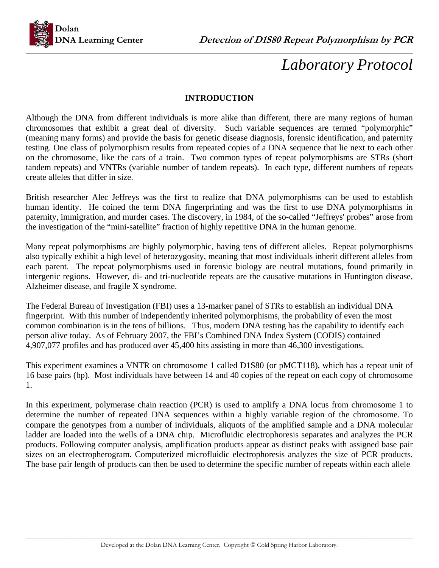

# *Laboratory Protocol*

## **INTRODUCTION**

Although the DNA from different individuals is more alike than different, there are many regions of human chromosomes that exhibit a great deal of diversity. Such variable sequences are termed "polymorphic" (meaning many forms) and provide the basis for genetic disease diagnosis, forensic identification, and paternity testing. One class of polymorphism results from repeated copies of a DNA sequence that lie next to each other on the chromosome, like the cars of a train. Two common types of repeat polymorphisms are STRs (short tandem repeats) and VNTRs (variable number of tandem repeats). In each type, different numbers of repeats create alleles that differ in size.

British researcher Alec Jeffreys was the first to realize that DNA polymorphisms can be used to establish human identity. He coined the term DNA fingerprinting and was the first to use DNA polymorphisms in paternity, immigration, and murder cases. The discovery, in 1984, of the so-called "Jeffreys' probes" arose from the investigation of the "mini-satellite" fraction of highly repetitive DNA in the human genome.

Many repeat polymorphisms are highly polymorphic, having tens of different alleles. Repeat polymorphisms also typically exhibit a high level of heterozygosity, meaning that most individuals inherit different alleles from each parent. The repeat polymorphisms used in forensic biology are neutral mutations, found primarily in intergenic regions. However, di- and tri-nucleotide repeats are the causative mutations in Huntington disease, Alzheimer disease, and fragile X syndrome.

The Federal Bureau of Investigation (FBI) uses a 13-marker panel of STRs to establish an individual DNA fingerprint. With this number of independently inherited polymorphisms, the probability of even the most common combination is in the tens of billions. Thus, modern DNA testing has the capability to identify each person alive today. As of February 2007, the FBI's Combined DNA Index System (CODIS) contained 4,907,077 profiles and has produced over 45,400 hits assisting in more than 46,300 investigations.

This experiment examines a VNTR on chromosome 1 called D1S80 (or pMCT118), which has a repeat unit of 16 base pairs (bp). Most individuals have between 14 and 40 copies of the repeat on each copy of chromosome 1.

In this experiment, polymerase chain reaction (PCR) is used to amplify a DNA locus from chromosome 1 to determine the number of repeated DNA sequences within a highly variable region of the chromosome. To compare the genotypes from a number of individuals, aliquots of the amplified sample and a DNA molecular ladder are loaded into the wells of a DNA chip. Microfluidic electrophoresis separates and analyzes the PCR products. Following computer analysis, amplification products appear as distinct peaks with assigned base pair sizes on an electropherogram. Computerized microfluidic electrophoresis analyzes the size of PCR products. The base pair length of products can then be used to determine the specific number of repeats within each allele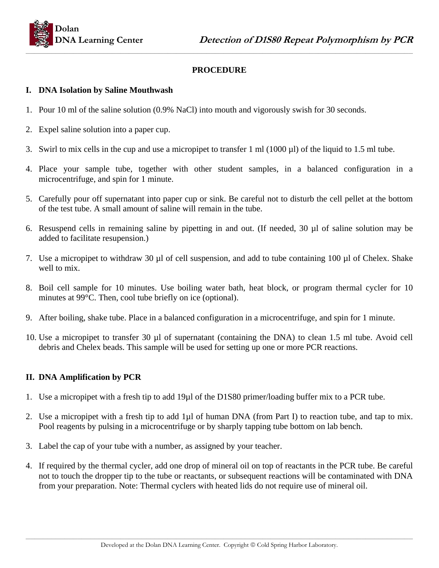

## **PROCEDURE**

#### **I. DNA Isolation by Saline Mouthwash**

- 1. Pour 10 ml of the saline solution (0.9% NaCl) into mouth and vigorously swish for 30 seconds.
- 2. Expel saline solution into a paper cup.
- 3. Swirl to mix cells in the cup and use a micropipet to transfer  $1 \text{ ml } (1000 \text{ µl})$  of the liquid to 1.5 ml tube.
- 4. Place your sample tube, together with other student samples, in a balanced configuration in a microcentrifuge, and spin for 1 minute.
- 5. Carefully pour off supernatant into paper cup or sink. Be careful not to disturb the cell pellet at the bottom of the test tube. A small amount of saline will remain in the tube.
- 6. Resuspend cells in remaining saline by pipetting in and out. (If needed, 30 µl of saline solution may be added to facilitate resupension.)
- 7. Use a micropipet to withdraw 30 µl of cell suspension, and add to tube containing 100 µl of Chelex. Shake well to mix.
- 8. Boil cell sample for 10 minutes. Use boiling water bath, heat block, or program thermal cycler for 10 minutes at 99°C. Then, cool tube briefly on ice (optional).
- 9. After boiling, shake tube. Place in a balanced configuration in a microcentrifuge, and spin for 1 minute.
- 10. Use a micropipet to transfer 30 µl of supernatant (containing the DNA) to clean 1.5 ml tube. Avoid cell debris and Chelex beads. This sample will be used for setting up one or more PCR reactions.

#### **II. DNA Amplification by PCR**

- 1. Use a micropipet with a fresh tip to add 19µl of the D1S80 primer/loading buffer mix to a PCR tube.
- 2. Use a micropipet with a fresh tip to add 1µl of human DNA (from Part I) to reaction tube, and tap to mix. Pool reagents by pulsing in a microcentrifuge or by sharply tapping tube bottom on lab bench.
- 3. Label the cap of your tube with a number, as assigned by your teacher.
- 4. If required by the thermal cycler, add one drop of mineral oil on top of reactants in the PCR tube. Be careful not to touch the dropper tip to the tube or reactants, or subsequent reactions will be contaminated with DNA from your preparation. Note: Thermal cyclers with heated lids do not require use of mineral oil.